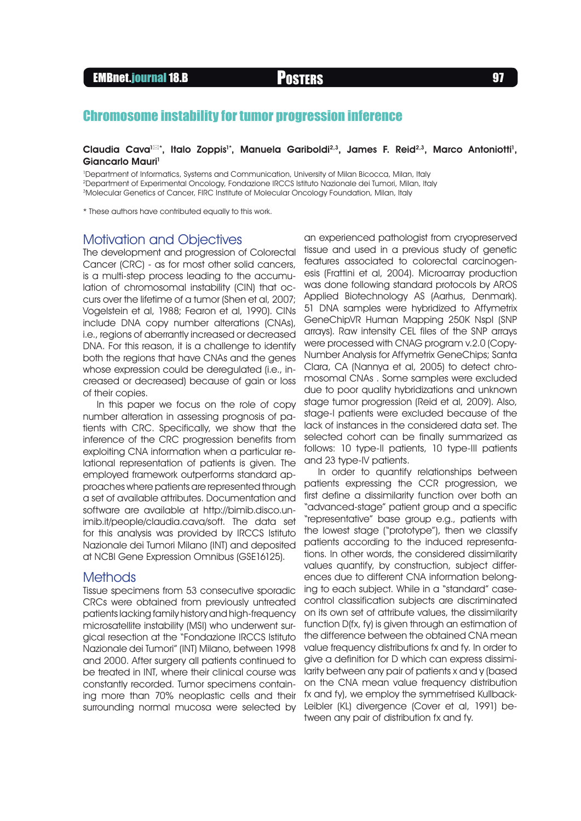# Chromosome instability for tumor progression inference

#### Claudia Cava<sup>1⊠+</sup>, Italo Zoppis<sup>1+</sup>, Manuela Gariboldi<sup>2,3</sup>, James F. Reid<sup>2,3</sup>, Marco Antoniotti<sup>1</sup>, Giancarlo Mauri<sup>1</sup>

1 Department of Informatics, Systems and Communication, University of Milan Bicocca, Milan, Italy 2Department of Experimental Oncology, Fondazione IRCCS Istituto Nazionale dei Tumori, Milan, Italy 3Molecular Genetics of Cancer, FIRC Institute of Molecular Oncology Foundation, Milan, Italy

\* These authors have contributed equally to this work.

### Motivation and Objectives

The development and progression of Colorectal Cancer (CRC) - as for most other solid cancers, is a multi-step process leading to the accumulation of chromosomal instability (CIN) that occurs over the lifetime of a tumor (Shen et al, 2007; Vogelstein et al, 1988; Fearon et al, 1990). CINs include DNA copy number alterations (CNAs), i.e., regions of aberrantly increased or decreased DNA. For this reason, it is a challenge to identify both the regions that have CNAs and the genes whose expression could be deregulated (i.e., increased or decreased) because of gain or loss of their copies.

In this paper we focus on the role of copy number alteration in assessing prognosis of patients with CRC. Specifically, we show that the inference of the CRC progression benefits from exploiting CNA information when a particular relational representation of patients is given. The employed framework outperforms standard approaches where patients are represented through a set of available attributes. Documentation and software are available at http://bimib.disco.unimib.it/people/claudia.cava/soft. The data set for this analysis was provided by IRCCS Istituto Nazionale dei Tumori Milano (INT) and deposited at NCBI Gene Expression Omnibus (GSE16125).

### **Methods**

Tissue specimens from 53 consecutive sporadic CRCs were obtained from previously untreated patients lacking family history and high-frequency microsatellite instability (MSI) who underwent surgical resection at the "Fondazione IRCCS Istituto Nazionale dei Tumori" (INT) Milano, between 1998 and 2000. After surgery all patients continued to be treated in INT, where their clinical course was constantly recorded. Tumor specimens containing more than 70% neoplastic cells and their surrounding normal mucosa were selected by an experienced pathologist from cryopreserved tissue and used in a previous study of genetic features associated to colorectal carcinogenesis (Frattini et al, 2004). Microarray production was done following standard protocols by AROS Applied Biotechnology AS (Aarhus, Denmark). 51 DNA samples were hybridized to Affymetrix GeneChipVR Human Mapping 250K NspI (SNP arrays). Raw intensity CEL files of the SNP arrays were processed with CNAG program v.2.0 (Copy-Number Analysis for Affymetrix GeneChips; Santa Clara, CA (Nannya et al, 2005) to detect chromosomal CNAs . Some samples were excluded due to poor quality hybridizations and unknown stage tumor progression (Reid et al, 2009). Also, stage-I patients were excluded because of the lack of instances in the considered data set. The selected cohort can be finally summarized as follows: 10 type-II patients, 10 type-III patients and 23 type-IV patients.

In order to quantify relationships between patients expressing the CCR progression, we first define a dissimilarity function over both an "advanced-stage" patient group and a specific "representative" base group e.g., patients with the lowest stage ("prototype"), then we classify patients according to the induced representations. In other words, the considered dissimilarity values quantify, by construction, subject differences due to different CNA information belonging to each subject. While in a "standard" casecontrol classification subjects are discriminated on its own set of attribute values, the dissimilarity function D(fx, fy) is given through an estimation of the difference between the obtained CNA mean value frequency distributions fx and fy. In order to give a definition for D which can express dissimilarity between any pair of patients x and y (based on the CNA mean value frequency distribution fx and fy), we employ the symmetrised Kullback-Leibler (KL) divergence (Cover et al, 1991) between any pair of distribution fx and fy.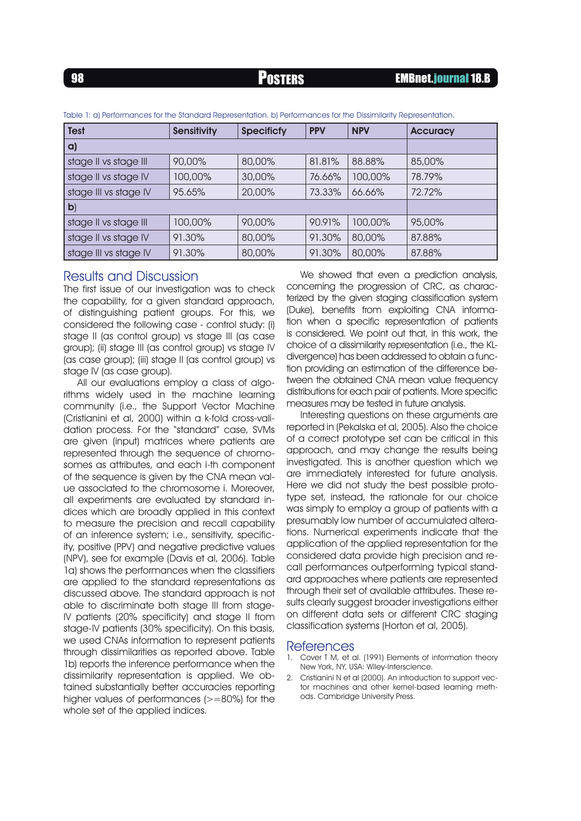| <b>Test</b>           | <b>Sensitivity</b> | <b>Specificfy</b> | <b>PPV</b> | <b>NPV</b> | <b>Accuracy</b> |
|-----------------------|--------------------|-------------------|------------|------------|-----------------|
| a)                    |                    |                   |            |            |                 |
| stage II vs stage III | 90,00%             | 80,00%            | 81.81%     | 88.88%     | 85,00%          |
| stage II vs stage IV  | 100,00%            | 30,00%            | 76.66%     | 100,00%    | 78.79%          |
| stage III vs stage IV | 95.65%             | 20,00%            | 73.33%     | 66.66%     | 72.72%          |
| $\mathbf{b}$          |                    |                   |            |            |                 |
| stage II vs stage III | 100,00%            | 90,00%            | 90.91%     | 100,00%    | 95,00%          |
| stage II vs stage IV  | 91.30%             | 80,00%            | 91.30%     | 80,00%     | 87,88%          |
| stage III vs stage IV | 91.30%             | 80,00%            | 91.30%     | 80,00%     | 87.88%          |

Table 1: a) Performances for the Standard Representation. b) Performances for the Dissimilarity Representation.

## Results and Discussion

The first issue of our investigation was to check the capability, for a given standard approach, of distinguishing patient groups. For this, we considered the following case - control study: (i) stage II (as control group) vs stage III (as case group); (ii) stage III (as control group) vs stage IV (as case group); (iii) stage II (as control group) vs stage IV (as case group).

All our evaluations employ a class of algorithms widely used in the machine learning community (i.e., the Support Vector Machine (Cristianini et al, 2000) within a k-fold cross-validation process. For the "standard" case, SVMs are given (input) matrices where patients are represented through the sequence of chromosomes as attributes, and each i-th component of the sequence is given by the CNA mean value associated to the chromosome i. Moreover, all experiments are evaluated by standard indices which are broadly applied in this context to measure the precision and recall capability of an inference system; i.e., sensitivity, specificity, positive (PPV) and negative predictive values (NPV), see for example (Davis et al, 2006). Table 1a) shows the performances when the classifiers are applied to the standard representations as discussed above. The standard approach is not able to discriminate both stage III from stage-IV patients (20% specificity) and stage II from stage-IV patients (30% specificity). On this basis, we used CNAs information to represent patients through dissimilarities as reported above. Table 1b) reports the inference performance when the dissimilarity representation is applied. We obtained substantially better accuracies reporting higher values of performances (>=80%) for the whole set of the applied indices.

We showed that even a prediction analysis, concerning the progression of CRC, as characterized by the given staging classification system (Duke), benefits from exploiting CNA information when a specific representation of patients is considered. We point out that, in this work, the choice of a dissimilarity representation (i.e., the KLdivergence) has been addressed to obtain a function providing an estimation of the difference between the obtained CNA mean value frequency distributions for each pair of patients. More specific measures may be tested in future analysis.

Interesting questions on these arguments are reported in (Pekalska et al, 2005). Also the choice of a correct prototype set can be critical in this approach, and may change the results being investigated. This is another question which we are immediately interested for future analysis. Here we did not study the best possible prototype set, instead, the rationale for our choice was simply to employ a group of patients with a presumably low number of accumulated alterations. Numerical experiments indicate that the application of the applied representation for the considered data provide high precision and recall performances outperforming typical standard approaches where patients are represented through their set of available attributes. These results clearly suggest broader investigations either on different data sets or different CRC staging classification systems (Horton et al, 2005).

#### References

- 1. Cover T M, et al. (1991) Elements of information theory New York, NY, USA: Wiley-Interscience.
- 2. Cristianini N et al (2000). An introduction to support vector machines and other kernel-based learning methods. Cambridge University Press.